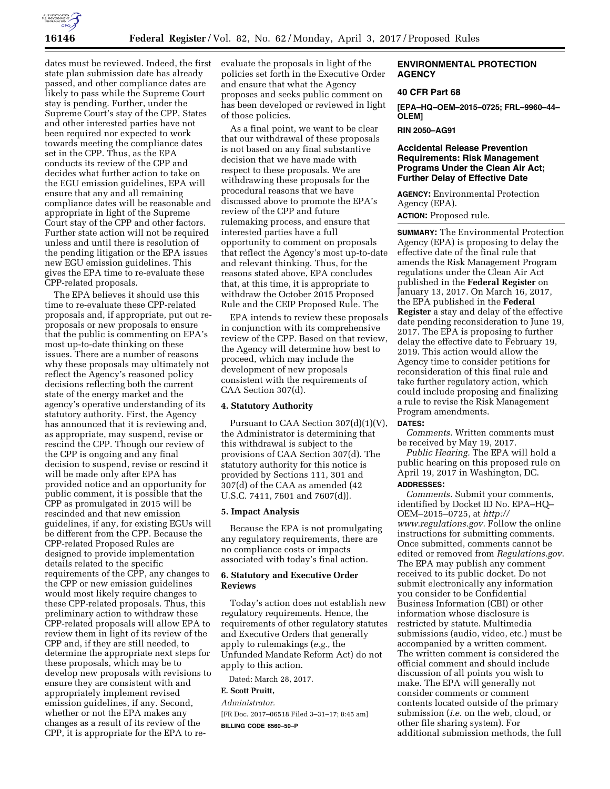

dates must be reviewed. Indeed, the first state plan submission date has already passed, and other compliance dates are likely to pass while the Supreme Court stay is pending. Further, under the Supreme Court's stay of the CPP, States and other interested parties have not been required nor expected to work towards meeting the compliance dates set in the CPP. Thus, as the EPA conducts its review of the CPP and decides what further action to take on the EGU emission guidelines, EPA will ensure that any and all remaining compliance dates will be reasonable and appropriate in light of the Supreme Court stay of the CPP and other factors. Further state action will not be required unless and until there is resolution of the pending litigation or the EPA issues new EGU emission guidelines. This gives the EPA time to re-evaluate these CPP-related proposals.

The EPA believes it should use this time to re-evaluate these CPP-related proposals and, if appropriate, put out reproposals or new proposals to ensure that the public is commenting on EPA's most up-to-date thinking on these issues. There are a number of reasons why these proposals may ultimately not reflect the Agency's reasoned policy decisions reflecting both the current state of the energy market and the agency's operative understanding of its statutory authority. First, the Agency has announced that it is reviewing and, as appropriate, may suspend, revise or rescind the CPP. Though our review of the CPP is ongoing and any final decision to suspend, revise or rescind it will be made only after EPA has provided notice and an opportunity for public comment, it is possible that the CPP as promulgated in 2015 will be rescinded and that new emission guidelines, if any, for existing EGUs will be different from the CPP. Because the CPP-related Proposed Rules are designed to provide implementation details related to the specific requirements of the CPP, any changes to the CPP or new emission guidelines would most likely require changes to these CPP-related proposals. Thus, this preliminary action to withdraw these CPP-related proposals will allow EPA to review them in light of its review of the CPP and, if they are still needed, to determine the appropriate next steps for these proposals, which may be to develop new proposals with revisions to ensure they are consistent with and appropriately implement revised emission guidelines, if any. Second, whether or not the EPA makes any changes as a result of its review of the CPP, it is appropriate for the EPA to reevaluate the proposals in light of the policies set forth in the Executive Order and ensure that what the Agency proposes and seeks public comment on has been developed or reviewed in light of those policies.

As a final point, we want to be clear that our withdrawal of these proposals is not based on any final substantive decision that we have made with respect to these proposals. We are withdrawing these proposals for the procedural reasons that we have discussed above to promote the EPA's review of the CPP and future rulemaking process, and ensure that interested parties have a full opportunity to comment on proposals that reflect the Agency's most up-to-date and relevant thinking. Thus, for the reasons stated above, EPA concludes that, at this time, it is appropriate to withdraw the October 2015 Proposed Rule and the CEIP Proposed Rule. The

EPA intends to review these proposals in conjunction with its comprehensive review of the CPP. Based on that review, the Agency will determine how best to proceed, which may include the development of new proposals consistent with the requirements of CAA Section 307(d).

#### **4. Statutory Authority**

Pursuant to CAA Section 307(d)(1)(V), the Administrator is determining that this withdrawal is subject to the provisions of CAA Section 307(d). The statutory authority for this notice is provided by Sections 111, 301 and 307(d) of the CAA as amended (42 U.S.C. 7411, 7601 and 7607(d)).

#### **5. Impact Analysis**

Because the EPA is not promulgating any regulatory requirements, there are no compliance costs or impacts associated with today's final action.

## **6. Statutory and Executive Order Reviews**

Today's action does not establish new regulatory requirements. Hence, the requirements of other regulatory statutes and Executive Orders that generally apply to rulemakings (*e.g.,* the Unfunded Mandate Reform Act) do not apply to this action.

Dated: March 28, 2017.

# **E. Scott Pruitt,**

*Administrator.* 

[FR Doc. 2017–06518 Filed 3–31–17; 8:45 am] **BILLING CODE 6560–50–P** 

## **ENVIRONMENTAL PROTECTION AGENCY**

## **40 CFR Part 68**

**[EPA–HQ–OEM–2015–0725; FRL–9960–44– OLEM]** 

#### **RIN 2050–AG91**

## **Accidental Release Prevention Requirements: Risk Management Programs Under the Clean Air Act; Further Delay of Effective Date**

**AGENCY:** Environmental Protection Agency (EPA). **ACTION:** Proposed rule.

**SUMMARY:** The Environmental Protection Agency (EPA) is proposing to delay the effective date of the final rule that amends the Risk Management Program regulations under the Clean Air Act published in the **Federal Register** on January 13, 2017. On March 16, 2017, the EPA published in the **Federal Register** a stay and delay of the effective date pending reconsideration to June 19, 2017. The EPA is proposing to further delay the effective date to February 19, 2019. This action would allow the Agency time to consider petitions for reconsideration of this final rule and take further regulatory action, which could include proposing and finalizing a rule to revise the Risk Management Program amendments.

### **DATES:**

*Comments.* Written comments must be received by May 19, 2017.

*Public Hearing.* The EPA will hold a public hearing on this proposed rule on April 19, 2017 in Washington, DC.

## **ADDRESSES:**

*Comments.* Submit your comments, identified by Docket ID No. EPA–HQ– OEM–2015–0725, at *[http://](http://www.regulations.gov) [www.regulations.gov.](http://www.regulations.gov)* Follow the online instructions for submitting comments. Once submitted, comments cannot be edited or removed from *Regulations.gov*. The EPA may publish any comment received to its public docket. Do not submit electronically any information you consider to be Confidential Business Information (CBI) or other information whose disclosure is restricted by statute. Multimedia submissions (audio, video, etc.) must be accompanied by a written comment. The written comment is considered the official comment and should include discussion of all points you wish to make. The EPA will generally not consider comments or comment contents located outside of the primary submission (*i.e.* on the web, cloud, or other file sharing system). For additional submission methods, the full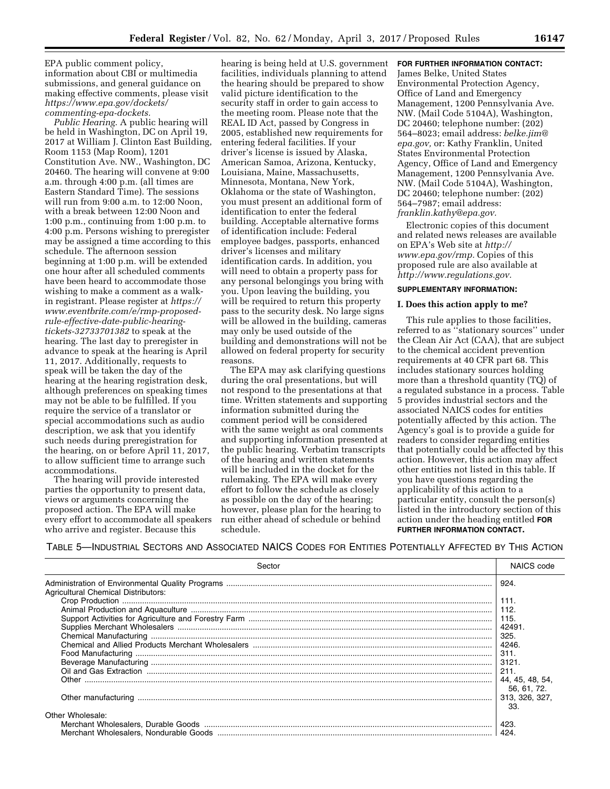EPA public comment policy, information about CBI or multimedia submissions, and general guidance on making effective comments, please visit *[https://www.epa.gov/dockets/](https://www.epa.gov/dockets/commenting-epa-dockets)  [commenting-epa-dockets.](https://www.epa.gov/dockets/commenting-epa-dockets)* 

*Public Hearing.* A public hearing will be held in Washington, DC on April 19, 2017 at William J. Clinton East Building, Room 1153 (Map Room), 1201 Constitution Ave. NW., Washington, DC 20460. The hearing will convene at 9:00 a.m. through 4:00 p.m. (all times are Eastern Standard Time). The sessions will run from 9:00 a.m. to 12:00 Noon, with a break between 12:00 Noon and 1:00 p.m., continuing from 1:00 p.m. to 4:00 p.m. Persons wishing to preregister may be assigned a time according to this schedule. The afternoon session beginning at 1:00 p.m. will be extended one hour after all scheduled comments have been heard to accommodate those wishing to make a comment as a walkin registrant. Please register at *[https://](https://www.eventbrite.com/e/rmp-proposed-rule-effective-date-public-hearing-tickets-32733701382) [www.eventbrite.com/e/rmp-proposed](https://www.eventbrite.com/e/rmp-proposed-rule-effective-date-public-hearing-tickets-32733701382)[rule-effective-date-public-hearing](https://www.eventbrite.com/e/rmp-proposed-rule-effective-date-public-hearing-tickets-32733701382)[tickets-32733701382](https://www.eventbrite.com/e/rmp-proposed-rule-effective-date-public-hearing-tickets-32733701382)* to speak at the hearing. The last day to preregister in advance to speak at the hearing is April 11, 2017. Additionally, requests to speak will be taken the day of the hearing at the hearing registration desk, although preferences on speaking times may not be able to be fulfilled. If you require the service of a translator or special accommodations such as audio description, we ask that you identify such needs during preregistration for the hearing, on or before April 11, 2017, to allow sufficient time to arrange such accommodations.

The hearing will provide interested parties the opportunity to present data, views or arguments concerning the proposed action. The EPA will make every effort to accommodate all speakers who arrive and register. Because this

hearing is being held at U.S. government facilities, individuals planning to attend the hearing should be prepared to show valid picture identification to the security staff in order to gain access to the meeting room. Please note that the REAL ID Act, passed by Congress in 2005, established new requirements for entering federal facilities. If your driver's license is issued by Alaska, American Samoa, Arizona, Kentucky, Louisiana, Maine, Massachusetts, Minnesota, Montana, New York, Oklahoma or the state of Washington, you must present an additional form of identification to enter the federal building. Acceptable alternative forms of identification include: Federal employee badges, passports, enhanced driver's licenses and military identification cards. In addition, you will need to obtain a property pass for any personal belongings you bring with you. Upon leaving the building, you will be required to return this property pass to the security desk. No large signs will be allowed in the building, cameras may only be used outside of the building and demonstrations will not be allowed on federal property for security reasons.

The EPA may ask clarifying questions during the oral presentations, but will not respond to the presentations at that time. Written statements and supporting information submitted during the comment period will be considered with the same weight as oral comments and supporting information presented at the public hearing. Verbatim transcripts of the hearing and written statements will be included in the docket for the rulemaking. The EPA will make every effort to follow the schedule as closely as possible on the day of the hearing; however, please plan for the hearing to run either ahead of schedule or behind schedule.

#### **FOR FURTHER INFORMATION CONTACT:**

James Belke, United States Environmental Protection Agency, Office of Land and Emergency Management, 1200 Pennsylvania Ave. NW. (Mail Code 5104A), Washington, DC 20460; telephone number: (202) 564–8023; email address: *[belke.jim@](mailto:belke.jim@epa.gov) [epa.gov,](mailto:belke.jim@epa.gov)* or: Kathy Franklin, United States Environmental Protection Agency, Office of Land and Emergency Management, 1200 Pennsylvania Ave. NW. (Mail Code 5104A), Washington, DC 20460; telephone number: (202) 564–7987; email address: *[franklin.kathy@epa.gov.](mailto:franklin.kathy@epa.gov)* 

Electronic copies of this document and related news releases are available on EPA's Web site at *[http://](http://www.epa.gov/rmp) [www.epa.gov/rmp.](http://www.epa.gov/rmp)* Copies of this proposed rule are also available at *[http://www.regulations.gov.](http://www.regulations.gov)* 

# **SUPPLEMENTARY INFORMATION:**

#### **I. Does this action apply to me?**

This rule applies to those facilities, referred to as ''stationary sources'' under the Clean Air Act (CAA), that are subject to the chemical accident prevention requirements at 40 CFR part 68. This includes stationary sources holding more than a threshold quantity (TQ) of a regulated substance in a process. Table 5 provides industrial sectors and the associated NAICS codes for entities potentially affected by this action. The Agency's goal is to provide a guide for readers to consider regarding entities that potentially could be affected by this action. However, this action may affect other entities not listed in this table. If you have questions regarding the applicability of this action to a particular entity, consult the person(s) listed in the introductory section of this action under the heading entitled **FOR FURTHER INFORMATION CONTACT.** 

TABLE 5—INDUSTRIAL SECTORS AND ASSOCIATED NAICS CODES FOR ENTITIES POTENTIALLY AFFECTED BY THIS ACTION

| Sector                                     | NAICS code      |
|--------------------------------------------|-----------------|
|                                            | 924.            |
| <b>Agricultural Chemical Distributors:</b> |                 |
|                                            | 111.            |
|                                            | 112.            |
|                                            | 115.            |
|                                            | 42491.          |
|                                            | 325.            |
|                                            | 4246.           |
|                                            | 311.            |
|                                            | 3121.           |
|                                            | 211.            |
|                                            | 44, 45, 48, 54, |
|                                            | 56.61.72.       |
|                                            | 313, 326, 327.  |
|                                            | 33.             |
| Other Wholesale:                           |                 |
|                                            | 423.            |
|                                            | 424             |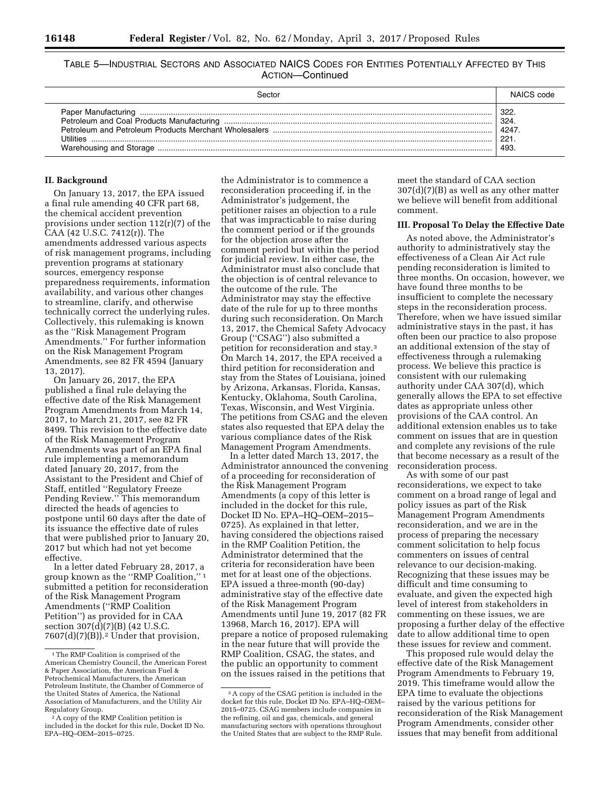TABLE 5—INDUSTRIAL SECTORS AND ASSOCIATED NAICS CODES FOR ENTITIES POTENTIALLY AFFECTED BY THIS ACTION—Continued

| secto |      |
|-------|------|
|       | 322. |
|       | 324. |
|       | 4247 |
|       | 221  |
|       | 493. |

### **II. Background**

On January 13, 2017, the EPA issued a final rule amending 40 CFR part 68, the chemical accident prevention provisions under section 112(r)(7) of the CAA (42 U.S.C. 7412(r)). The amendments addressed various aspects of risk management programs, including prevention programs at stationary sources, emergency response preparedness requirements, information availability, and various other changes to streamline, clarify, and otherwise technically correct the underlying rules. Collectively, this rulemaking is known as the ''Risk Management Program Amendments.'' For further information on the Risk Management Program Amendments, see 82 FR 4594 (January 13, 2017).

On January 26, 2017, the EPA published a final rule delaying the effective date of the Risk Management Program Amendments from March 14, 2017, to March 21, 2017, see 82 FR 8499. This revision to the effective date of the Risk Management Program Amendments was part of an EPA final rule implementing a memorandum dated January 20, 2017, from the Assistant to the President and Chief of Staff, entitled ''Regulatory Freeze Pending Review.'' This memorandum directed the heads of agencies to postpone until 60 days after the date of its issuance the effective date of rules that were published prior to January 20, 2017 but which had not yet become effective.

In a letter dated February 28, 2017, a group known as the ''RMP Coalition,'' 1 submitted a petition for reconsideration of the Risk Management Program Amendments (''RMP Coalition Petition'') as provided for in CAA section 307(d)(7)(B) (42 U.S.C.  $7607(d)(7)(B)$ .<sup>2</sup> Under that provision,

the Administrator is to commence a reconsideration proceeding if, in the Administrator's judgement, the petitioner raises an objection to a rule that was impracticable to raise during the comment period or if the grounds for the objection arose after the comment period but within the period for judicial review. In either case, the Administrator must also conclude that the objection is of central relevance to the outcome of the rule. The Administrator may stay the effective date of the rule for up to three months during such reconsideration. On March 13, 2017, the Chemical Safety Advocacy Group (''CSAG'') also submitted a petition for reconsideration and stay.3 On March 14, 2017, the EPA received a third petition for reconsideration and stay from the States of Louisiana, joined by Arizona, Arkansas, Florida, Kansas, Kentucky, Oklahoma, South Carolina, Texas, Wisconsin, and West Virginia. The petitions from CSAG and the eleven states also requested that EPA delay the various compliance dates of the Risk Management Program Amendments.

In a letter dated March 13, 2017, the Administrator announced the convening of a proceeding for reconsideration of the Risk Management Program Amendments (a copy of this letter is included in the docket for this rule, Docket ID No. EPA–HQ–OEM–2015– 0725). As explained in that letter, having considered the objections raised in the RMP Coalition Petition, the Administrator determined that the criteria for reconsideration have been met for at least one of the objections. EPA issued a three-month (90-day) administrative stay of the effective date of the Risk Management Program Amendments until June 19, 2017 (82 FR 13968, March 16, 2017). EPA will prepare a notice of proposed rulemaking in the near future that will provide the RMP Coalition, CSAG, the states, and the public an opportunity to comment on the issues raised in the petitions that

meet the standard of CAA section  $307(d)(7)(B)$  as well as any other matter we believe will benefit from additional comment.

#### **III. Proposal To Delay the Effective Date**

As noted above, the Administrator's authority to administratively stay the effectiveness of a Clean Air Act rule pending reconsideration is limited to three months. On occasion, however, we have found three months to be insufficient to complete the necessary steps in the reconsideration process. Therefore, when we have issued similar administrative stays in the past, it has often been our practice to also propose an additional extension of the stay of effectiveness through a rulemaking process. We believe this practice is consistent with our rulemaking authority under CAA 307(d), which generally allows the EPA to set effective dates as appropriate unless other provisions of the CAA control. An additional extension enables us to take comment on issues that are in question and complete any revisions of the rule that become necessary as a result of the reconsideration process.

As with some of our past reconsiderations, we expect to take comment on a broad range of legal and policy issues as part of the Risk Management Program Amendments reconsideration, and we are in the process of preparing the necessary comment solicitation to help focus commenters on issues of central relevance to our decision-making. Recognizing that these issues may be difficult and time consuming to evaluate, and given the expected high level of interest from stakeholders in commenting on these issues, we are proposing a further delay of the effective date to allow additional time to open these issues for review and comment.

This proposed rule would delay the effective date of the Risk Management Program Amendments to February 19, 2019. This timeframe would allow the EPA time to evaluate the objections raised by the various petitions for reconsideration of the Risk Management Program Amendments, consider other issues that may benefit from additional

<sup>&</sup>lt;sup>1</sup>The RMP Coalition is comprised of the American Chemistry Council, the American Forest & Paper Association, the American Fuel & Petrochemical Manufacturers, the American Petroleum Institute, the Chamber of Commerce of the United States of America, the National Association of Manufacturers, and the Utility Air Regulatory Group.

 $2^2$ A copy of the RMP Coalition petition is included in the docket for this rule, Docket ID No. EPA–HQ–OEM–2015–0725.

<sup>3</sup>A copy of the CSAG petition is included in the docket for this rule, Docket ID No. EPA–HQ–OEM– 2015–0725. CSAG members include companies in the refining, oil and gas, chemicals, and general manufacturing sectors with operations throughout the United States that are subject to the RMP Rule.